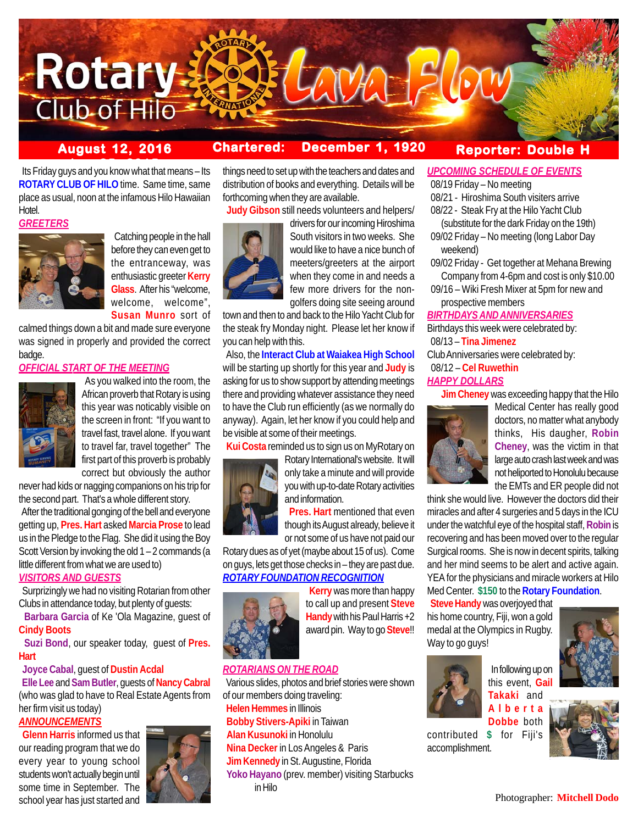

# **August 12, 2016 Chartered: December 1, 1920**

# **Reporter: Double H**

**between** 25, 2015<br> **Its Friday guys and you know what that means – Its ROTARY CLUB OF HILO** time. Same time, same place as usual, noon at the infamous Hilo Hawaiian Hotel.

#### *GREETERS*



 Catching people in the hall before they can even get to the entranceway, was enthusiastic greeter **Kerry Glass**. After his "welcome, welcome, welcome", **Susan Munro** sort of

calmed things down a bit and made sure everyone was signed in properly and provided the correct badge.

# *OFFICIAL START OF THE MEETING*



 As you walked into the room, the African proverb that Rotary is using this year was noticably visible on the screen in front: "If you want to travel fast, travel alone. If you want to travel far, travel together" The first part of this proverb is probably correct but obviously the author

never had kids or nagging companions on his trip for the second part. That's a whole different story.

 After the traditional gonging of the bell and everyone getting up, **Pres. Hart** asked **Marcia Prose** to lead us in the Pledge to the Flag. She did it using the Boy Scott Version by invoking the old 1 – 2 commands (a little different from what we are used to)

## *VISITORS AND GUESTS*

 Surprizingly we had no visiting Rotarian from other Clubs in attendance today, but plenty of guests:

 **Barbara Garcia** of Ke 'Ola Magazine, guest of **Cindy Boots**

 **Suzi Bond**, our speaker today, guest of **Pres. Hart**

# **Joyce Cabal**, guest of **Dustin Acdal**

 **Elle Lee** and **Sam Butler**, guests of **Nancy Cabral** (who was glad to have to Real Estate Agents from her firm visit us today)

## *ANNOUNCEMENTS*

 **Glenn Harris** informed us that our reading program that we do every year to young school students won't actually begin until some time in September. The school year has just started and



things need to set up with the teachers and dates and distribution of books and everything. Details will be forthcoming when they are available.

 **Judy Gibson** still needs volunteers and helpers/



drivers for our incoming Hiroshima South visitors in two weeks. She would like to have a nice bunch of meeters/greeters at the airport when they come in and needs a few more drivers for the nongolfers doing site seeing around

town and then to and back to the Hilo Yacht Club for the steak fry Monday night. Please let her know if you can help with this.

 Also, the **Interact Club at Waiakea High School** will be starting up shortly for this year and **Judy** is asking for us to show support by attending meetings there and providing whatever assistance they need to have the Club run efficiently (as we normally do anyway). Again, let her know if you could help and be visible at some of their meetings.

**Kui Costa** reminded us to sign us on MyRotary on



Rotary International's website. It will only take a minute and will provide you with up-to-date Rotary activities and information.

 **Pres. Hart** mentioned that even though its August already, believe it or not some of us have not paid our

Rotary dues as of yet (maybe about 15 of us). Come on guys, lets get those checks in – they are past due. *ROTARY FOUNDATION RECOGNITION*



 **Kerry** was more than happy to call up and present **Steve Handy** with his Paul Harris +2 award pin. Way to go **Steve**!!

# *ROTARIANS ON THE ROAD*

 Various slides, photos and brief stories were shown of our members doing traveling: **Helen Hemmes** in Illinois  **Bobby Stivers-Apiki** in Taiwan **Alan Kusunoki** in Honolulu **Nina Decker** in Los Angeles & Paris  **Jim Kennedy** in St. Augustine, Florida  **Yoko Hayano** (prev. member) visiting Starbucks in Hilo

# *UPCOMING SCHEDULE OF EVENTS*

08/19 Friday – No meeting

- 08/21 Hiroshima South visiters arrive
- 08/22 Steak Fry at the Hilo Yacht Club
- (substitute for the dark Friday on the 19th) 09/02 Friday – No meeting (long Labor Day
- weekend) 09/02 Friday - Get together at Mehana Brewing
- Company from 4-6pm and cost is only \$10.00
- 09/16 Wiki Fresh Mixer at 5pm for new and prospective members

#### *BIRTHDAYS AND ANNIVERSARIES*

Birthdays this week were celebrated by: 08/13 – **Tina Jimenez**

Club Anniversaries were celebrated by:

# 08/12 – **Cel Ruwethin**

#### *HAPPY DOLLARS*

**Jim Cheney** was exceeding happy that the Hilo



Medical Center has really good doctors, no matter what anybody thinks, His daugher, **Robin Cheney**, was the victim in that large auto crash last week and was not heliported to Honolulu because the EMTs and ER people did not

think she would live. However the doctors did their miracles and after 4 surgeries and 5 days in the ICU under the watchful eye of the hospital staff, **Robin** is recovering and has been moved over to the regular Surgical rooms. She is now in decent spirits, talking and her mind seems to be alert and active again. YEA for the physicians and miracle workers at Hilo Med Center. **\$150** to the **Rotary Foundation**.

 **Steve Handy** was overjoyed that his home country, Fiji, won a gold medal at the Olympics in Rugby. Way to go guys!



 In following up on this event, **Gail Takaki** and



**Dobbe** both contributed **\$** for Fiji's accomplishment.